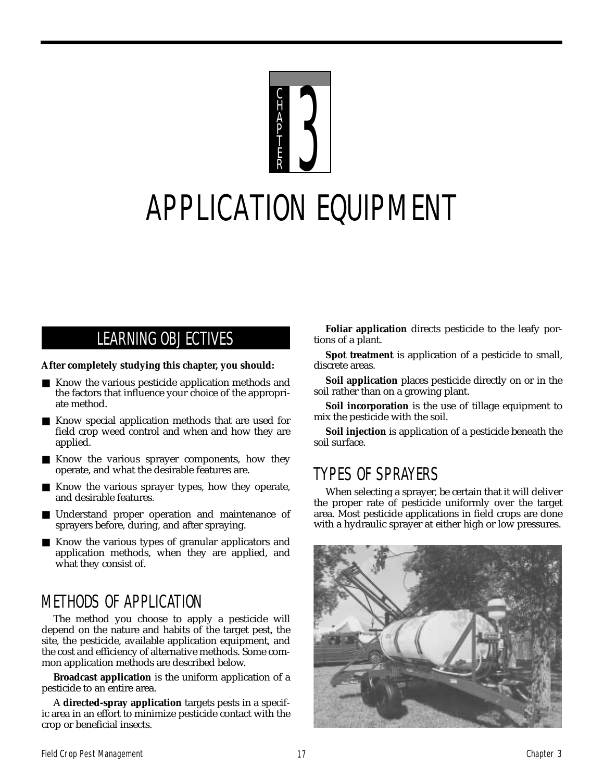

# APPLICATION EQUIPMENT

# LEARNING OBJECTIVES

#### **After completely studying this chapter, you should:**

- Know the various pesticide application methods and the factors that influence your choice of the appropriate method.
- Know special application methods that are used for field crop weed control and when and how they are applied.
- Know the various sprayer components, how they operate, and what the desirable features are.
- Know the various sprayer types, how they operate, and desirable features.
- Understand proper operation and maintenance of sprayers before, during, and after spraying.
- Know the various types of granular applicators and application methods, when they are applied, and what they consist of.

# METHODS OF APPLICATION

The method you choose to apply a pesticide will depend on the nature and habits of the target pest, the site, the pesticide, available application equipment, and the cost and efficiency of alternative methods. Some common application methods are described below.

**Broadcast application** is the uniform application of a pesticide to an entire area.

A **directed-spray application** targets pests in a specific area in an effort to minimize pesticide contact with the crop or beneficial insects.

**Foliar application** directs pesticide to the leafy portions of a plant.

**Spot treatment** is application of a pesticide to small, discrete areas.

**Soil application** places pesticide directly on or in the soil rather than on a growing plant.

**Soil incorporation** is the use of tillage equipment to mix the pesticide with the soil.

**Soil injection** is application of a pesticide beneath the soil surface.

# TYPES OF SPRAYERS

When selecting a sprayer, be certain that it will deliver the proper rate of pesticide uniformly over the target area. Most pesticide applications in field crops are done with a hydraulic sprayer at either high or low pressures.

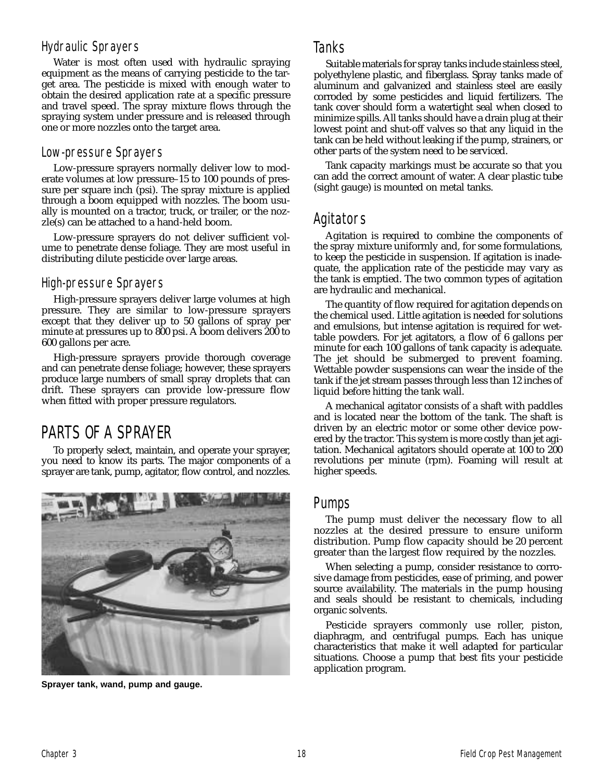#### Hydraulic Sprayers

Water is most often used with hydraulic spraying equipment as the means of carrying pesticide to the target area. The pesticide is mixed with enough water to obtain the desired application rate at a specific pressure and travel speed. The spray mixture flows through the spraying system under pressure and is released through one or more nozzles onto the target area.

#### Low-pressure Sprayers

Low-pressure sprayers normally deliver low to moderate volumes at low pressure–15 to 100 pounds of pressure per square inch (psi). The spray mixture is applied through a boom equipped with nozzles. The boom usually is mounted on a tractor, truck, or trailer, or the nozzle(s) can be attached to a hand-held boom.

Low-pressure sprayers do not deliver sufficient volume to penetrate dense foliage. They are most useful in distributing dilute pesticide over large areas.

#### High-pressure Sprayers

High-pressure sprayers deliver large volumes at high pressure. They are similar to low-pressure sprayers except that they deliver up to 50 gallons of spray per minute at pressures up to 800 psi. A boom delivers 200 to 600 gallons per acre.

High-pressure sprayers provide thorough coverage and can penetrate dense foliage; however, these sprayers produce large numbers of small spray droplets that can drift. These sprayers can provide low-pressure flow when fitted with proper pressure regulators.

# PARTS OF A SPRAYER

To properly select, maintain, and operate your sprayer, you need to know its parts. The major components of a sprayer are tank, pump, agitator, flow control, and nozzles.



**Sprayer tank, wand, pump and gauge.**

## Tanks

Suitable materials for spray tanks include stainless steel, polyethylene plastic, and fiberglass. Spray tanks made of aluminum and galvanized and stainless steel are easily corroded by some pesticides and liquid fertilizers. The tank cover should form a watertight seal when closed to minimize spills. All tanks should have a drain plug at their lowest point and shut-off valves so that any liquid in the tank can be held without leaking if the pump, strainers, or other parts of the system need to be serviced.

Tank capacity markings must be accurate so that you can add the correct amount of water. A clear plastic tube (sight gauge) is mounted on metal tanks.

# Agitators

Agitation is required to combine the components of the spray mixture uniformly and, for some formulations, to keep the pesticide in suspension. If agitation is inadequate, the application rate of the pesticide may vary as the tank is emptied. The two common types of agitation are hydraulic and mechanical.

The quantity of flow required for agitation depends on the chemical used. Little agitation is needed for solutions and emulsions, but intense agitation is required for wettable powders. For jet agitators, a flow of 6 gallons per minute for each 100 gallons of tank capacity is adequate. The jet should be submerged to prevent foaming. Wettable powder suspensions can wear the inside of the tank if the jet stream passes through less than 12 inches of liquid before hitting the tank wall.

A mechanical agitator consists of a shaft with paddles and is located near the bottom of the tank. The shaft is driven by an electric motor or some other device powered by the tractor. This system is more costly than jet agitation. Mechanical agitators should operate at 100 to 200 revolutions per minute (rpm). Foaming will result at higher speeds.

## Pumps

The pump must deliver the necessary flow to all nozzles at the desired pressure to ensure uniform distribution. Pump flow capacity should be 20 percent greater than the largest flow required by the nozzles.

When selecting a pump, consider resistance to corrosive damage from pesticides, ease of priming, and power source availability. The materials in the pump housing and seals should be resistant to chemicals, including organic solvents.

Pesticide sprayers commonly use roller, piston, diaphragm, and centrifugal pumps. Each has unique characteristics that make it well adapted for particular situations. Choose a pump that best fits your pesticide application program.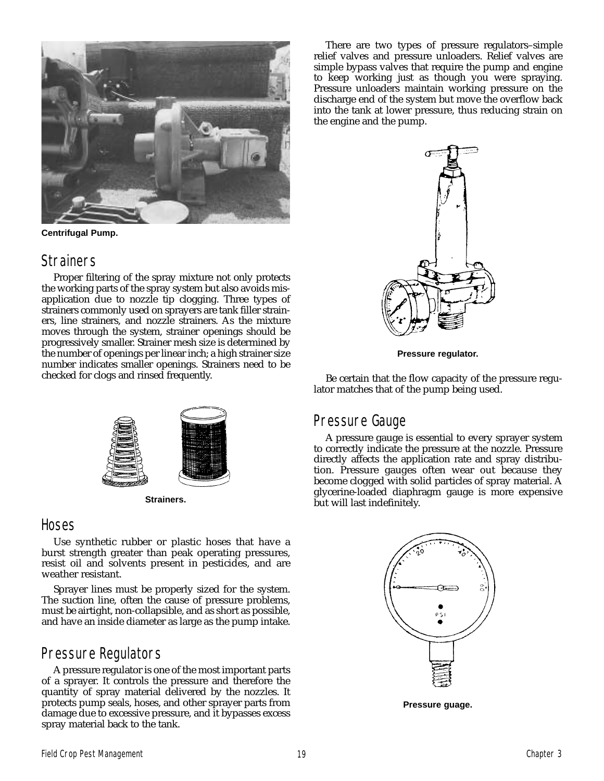

**Centrifugal Pump.**

#### **Strainers**

Proper filtering of the spray mixture not only protects the working parts of the spray system but also avoids misapplication due to nozzle tip clogging. Three types of strainers commonly used on sprayers are tank filler strainers, line strainers, and nozzle strainers. As the mixture moves through the system, strainer openings should be progressively smaller. Strainer mesh size is determined by the number of openings per linear inch; a high strainer size number indicates smaller openings. Strainers need to be checked for clogs and rinsed frequently.



**Strainers.**

#### **Hoses**

Use synthetic rubber or plastic hoses that have a burst strength greater than peak operating pressures, resist oil and solvents present in pesticides, and are weather resistant.

Sprayer lines must be properly sized for the system. The suction line, often the cause of pressure problems, must be airtight, non-collapsible, and as short as possible, and have an inside diameter as large as the pump intake.

# Pressure Regulators

A pressure regulator is one of the most important parts of a sprayer. It controls the pressure and therefore the quantity of spray material delivered by the nozzles. It protects pump seals, hoses, and other sprayer parts from damage due to excessive pressure, and it bypasses excess spray material back to the tank.

There are two types of pressure regulators–simple relief valves and pressure unloaders. Relief valves are simple bypass valves that require the pump and engine to keep working just as though you were spraying. Pressure unloaders maintain working pressure on the discharge end of the system but move the overflow back into the tank at lower pressure, thus reducing strain on the engine and the pump.



**Pressure regulator.**

Be certain that the flow capacity of the pressure regulator matches that of the pump being used.

## Pressure Gauge

A pressure gauge is essential to every sprayer system to correctly indicate the pressure at the nozzle. Pressure directly affects the application rate and spray distribution. Pressure gauges often wear out because they become clogged with solid particles of spray material. A glycerine-loaded diaphragm gauge is more expensive but will last indefinitely.



**Pressure guage.**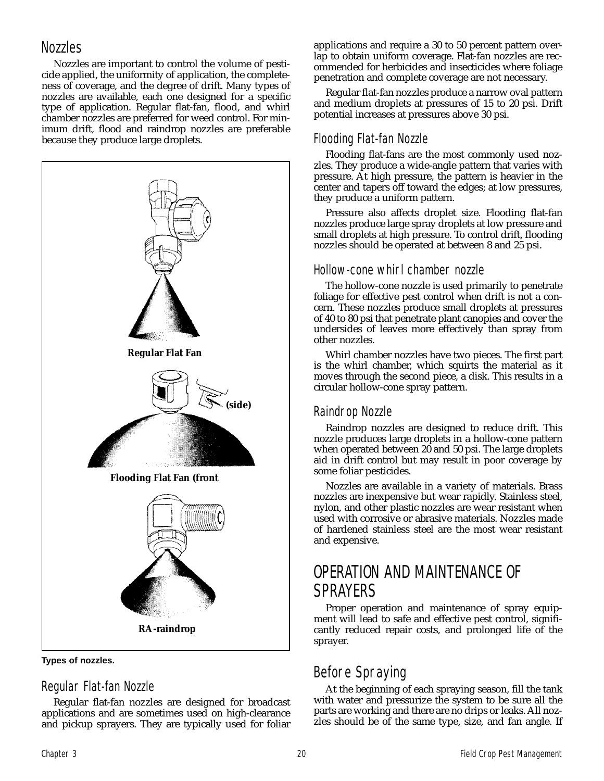## **Nozzles**

Nozzles are important to control the volume of pesticide applied, the uniformity of application, the completeness of coverage, and the degree of drift. Many types of nozzles are available, each one designed for a specific type of application. Regular flat-fan, flood, and whirl chamber nozzles are preferred for weed control. For minimum drift, flood and raindrop nozzles are preferable because they produce large droplets.



**Types of nozzles.**

## Regular Flat-fan Nozzle

Regular flat-fan nozzles are designed for broadcast applications and are sometimes used on high-clearance and pickup sprayers. They are typically used for foliar applications and require a 30 to 50 percent pattern overlap to obtain uniform coverage. Flat-fan nozzles are recommended for herbicides and insecticides where foliage penetration and complete coverage are not necessary.

Regular flat-fan nozzles produce a narrow oval pattern and medium droplets at pressures of 15 to 20 psi. Drift potential increases at pressures above 30 psi.

## Flooding Flat-fan Nozzle

Flooding flat-fans are the most commonly used nozzles. They produce a wide-angle pattern that varies with pressure. At high pressure, the pattern is heavier in the center and tapers off toward the edges; at low pressures, they produce a uniform pattern.

Pressure also affects droplet size. Flooding flat-fan nozzles produce large spray droplets at low pressure and small droplets at high pressure. To control drift, flooding nozzles should be operated at between 8 and 25 psi.

## Hollow-cone whirl chamber nozzle

The hollow-cone nozzle is used primarily to penetrate foliage for effective pest control when drift is not a concern. These nozzles produce small droplets at pressures of 40 to 80 psi that penetrate plant canopies and cover the undersides of leaves more effectively than spray from other nozzles.

Whirl chamber nozzles have two pieces. The first part is the whirl chamber, which squirts the material as it moves through the second piece, a disk. This results in a circular hollow-cone spray pattern.

## Raindrop Nozzle

Raindrop nozzles are designed to reduce drift. This nozzle produces large droplets in a hollow-cone pattern when operated between 20 and 50 psi. The large droplets aid in drift control but may result in poor coverage by some foliar pesticides.

Nozzles are available in a variety of materials. Brass nozzles are inexpensive but wear rapidly. Stainless steel, nylon, and other plastic nozzles are wear resistant when used with corrosive or abrasive materials. Nozzles made of hardened stainless steel are the most wear resistant and expensive.

# OPERATION AND MAINTENANCE OF SPRAYERS

Proper operation and maintenance of spray equipment will lead to safe and effective pest control, significantly reduced repair costs, and prolonged life of the sprayer.

# Before Spraying

At the beginning of each spraying season, fill the tank with water and pressurize the system to be sure all the parts are working and there are no drips or leaks. All nozzles should be of the same type, size, and fan angle. If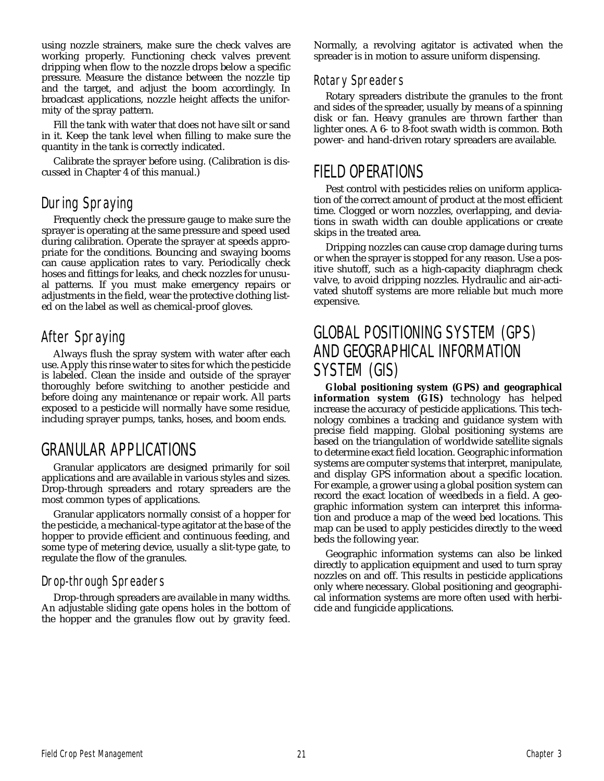using nozzle strainers, make sure the check valves are working properly. Functioning check valves prevent dripping when flow to the nozzle drops below a specific pressure. Measure the distance between the nozzle tip and the target, and adjust the boom accordingly. In broadcast applications, nozzle height affects the uniformity of the spray pattern.

Fill the tank with water that does not have silt or sand in it. Keep the tank level when filling to make sure the quantity in the tank is correctly indicated.

Calibrate the sprayer before using. (Calibration is discussed in Chapter 4 of this manual.)

# During Spraying

Frequently check the pressure gauge to make sure the sprayer is operating at the same pressure and speed used during calibration. Operate the sprayer at speeds appropriate for the conditions. Bouncing and swaying booms can cause application rates to vary. Periodically check hoses and fittings for leaks, and check nozzles for unusual patterns. If you must make emergency repairs or adjustments in the field, wear the protective clothing listed on the label as well as chemical-proof gloves.

# After Spraying

Always flush the spray system with water after each use. Apply this rinse water to sites for which the pesticide is labeled. Clean the inside and outside of the sprayer thoroughly before switching to another pesticide and before doing any maintenance or repair work. All parts exposed to a pesticide will normally have some residue, including sprayer pumps, tanks, hoses, and boom ends.

# GRANULAR APPLICATIONS

Granular applicators are designed primarily for soil applications and are available in various styles and sizes. Drop-through spreaders and rotary spreaders are the most common types of applications.

Granular applicators normally consist of a hopper for the pesticide, a mechanical-type agitator at the base of the hopper to provide efficient and continuous feeding, and some type of metering device, usually a slit-type gate, to regulate the flow of the granules.

#### Drop-through Spreaders

Drop-through spreaders are available in many widths. An adjustable sliding gate opens holes in the bottom of the hopper and the granules flow out by gravity feed.

Normally, a revolving agitator is activated when the spreader is in motion to assure uniform dispensing.

#### Rotary Spreaders

Rotary spreaders distribute the granules to the front and sides of the spreader, usually by means of a spinning disk or fan. Heavy granules are thrown farther than lighter ones. A 6- to 8-foot swath width is common. Both power- and hand-driven rotary spreaders are available.

# FIELD OPERATIONS

Pest control with pesticides relies on uniform application of the correct amount of product at the most efficient time. Clogged or worn nozzles, overlapping, and deviations in swath width can double applications or create skips in the treated area.

Dripping nozzles can cause crop damage during turns or when the sprayer is stopped for any reason. Use a positive shutoff, such as a high-capacity diaphragm check valve, to avoid dripping nozzles. Hydraulic and air-activated shutoff systems are more reliable but much more expensive.

# GLOBAL POSITIONING SYSTEM (GPS) AND GEOGRAPHICAL INFORMATION SYSTEM (GIS)

**Global positioning system (GPS) and geographical information system (GIS)** technology has helped increase the accuracy of pesticide applications. This technology combines a tracking and guidance system with precise field mapping. Global positioning systems are based on the triangulation of worldwide satellite signals to determine exact field location. Geographic information systems are computer systems that interpret, manipulate, and display GPS information about a specific location. For example, a grower using a global position system can record the exact location of weedbeds in a field. A geographic information system can interpret this information and produce a map of the weed bed locations. This map can be used to apply pesticides directly to the weed beds the following year.

Geographic information systems can also be linked directly to application equipment and used to turn spray nozzles on and off. This results in pesticide applications only where necessary. Global positioning and geographical information systems are more often used with herbicide and fungicide applications.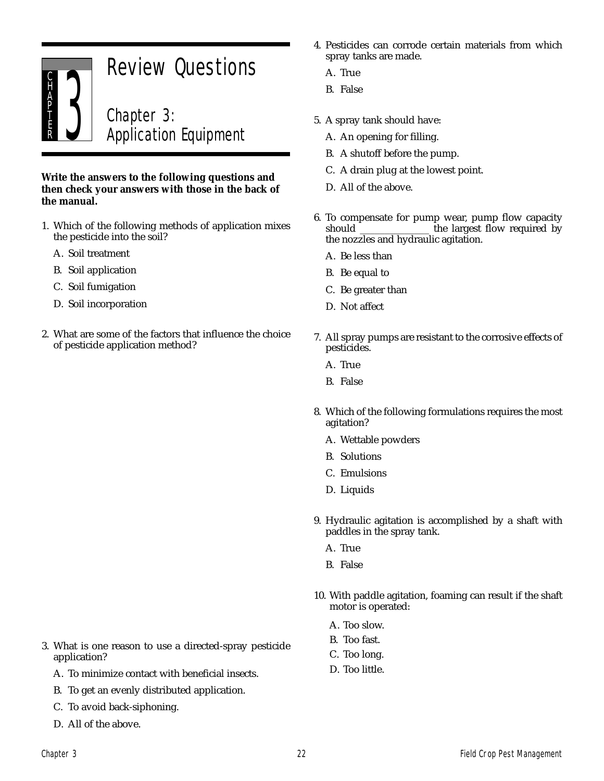

#### **Write the answers to the following questions and then check your answers with those in the back of the manual.**

- 1. Which of the following methods of application mixes the pesticide into the soil?
	- A. Soil treatment
	- B. Soil application
	- C. Soil fumigation
	- D. Soil incorporation
- 2. What are some of the factors that influence the choice of pesticide application method?
- 4. Pesticides can corrode certain materials from which spray tanks are made.
	- A. True
	- B. False
- 5. A spray tank should have:
	- A. An opening for filling.
	- B. A shutoff before the pump.
	- C. A drain plug at the lowest point.
	- D. All of the above.
- 6. To compensate for pump wear, pump flow capacity should the largest flow required by the nozzles and hydraulic agitation.
	- A. Be less than
	- B. Be equal to
	- C. Be greater than
	- D. Not affect
- 7. All spray pumps are resistant to the corrosive effects of pesticides.
	- A. True
	- B. False
- 8. Which of the following formulations requires the most agitation?
	- A. Wettable powders
	- B. Solutions
	- C. Emulsions
	- D. Liquids
- 9. Hydraulic agitation is accomplished by a shaft with paddles in the spray tank.
	- A. True
	- B. False
- 10. With paddle agitation, foaming can result if the shaft motor is operated:
	- A. Too slow.
	- B. Too fast.
	- C. Too long.
	- D. Too little.
- 3. What is one reason to use a directed-spray pesticide application?
	- A. To minimize contact with beneficial insects.
	- B. To get an evenly distributed application.
	- C. To avoid back-siphoning.
	- D. All of the above.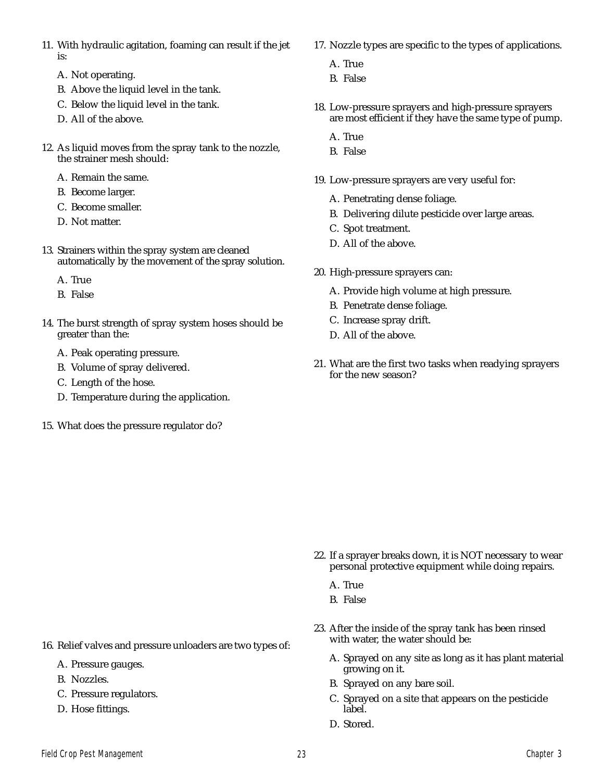- 11. With hydraulic agitation, foaming can result if the jet is:
	- A. Not operating.
	- B. Above the liquid level in the tank.
	- C. Below the liquid level in the tank.
	- D. All of the above.
- 12. As liquid moves from the spray tank to the nozzle, the strainer mesh should:
	- A. Remain the same.
	- B. Become larger.
	- C. Become smaller.
	- D. Not matter.
- 13. Strainers within the spray system are cleaned automatically by the movement of the spray solution.
	- A. True
	- B. False
- 14. The burst strength of spray system hoses should be greater than the:
	- A. Peak operating pressure.
	- B. Volume of spray delivered.
	- C. Length of the hose.
	- D. Temperature during the application.
- 15. What does the pressure regulator do?
- 17. Nozzle types are specific to the types of applications.
	- A. True
	- B. False
- 18. Low-pressure sprayers and high-pressure sprayers are most efficient if they have the same type of pump.
	- A. True
	- B. False
- 19. Low-pressure sprayers are very useful for:
	- A. Penetrating dense foliage.
	- B. Delivering dilute pesticide over large areas.
	- C. Spot treatment.
	- D. All of the above.
- 20. High-pressure sprayers can:
	- A. Provide high volume at high pressure.
	- B. Penetrate dense foliage.
	- C. Increase spray drift.
	- D. All of the above.
- 21. What are the first two tasks when readying sprayers for the new season?

- 22. If a sprayer breaks down, it is NOT necessary to wear personal protective equipment while doing repairs.
	- A. True
	- B. False
- 23. After the inside of the spray tank has been rinsed with water, the water should be:
	- A. Sprayed on any site as long as it has plant material growing on it.
	- B. Sprayed on any bare soil.
	- C. Sprayed on a site that appears on the pesticide label.
	- D. Stored.
- A. Pressure gauges.
- B. Nozzles.
- C. Pressure regulators.
- D. Hose fittings.